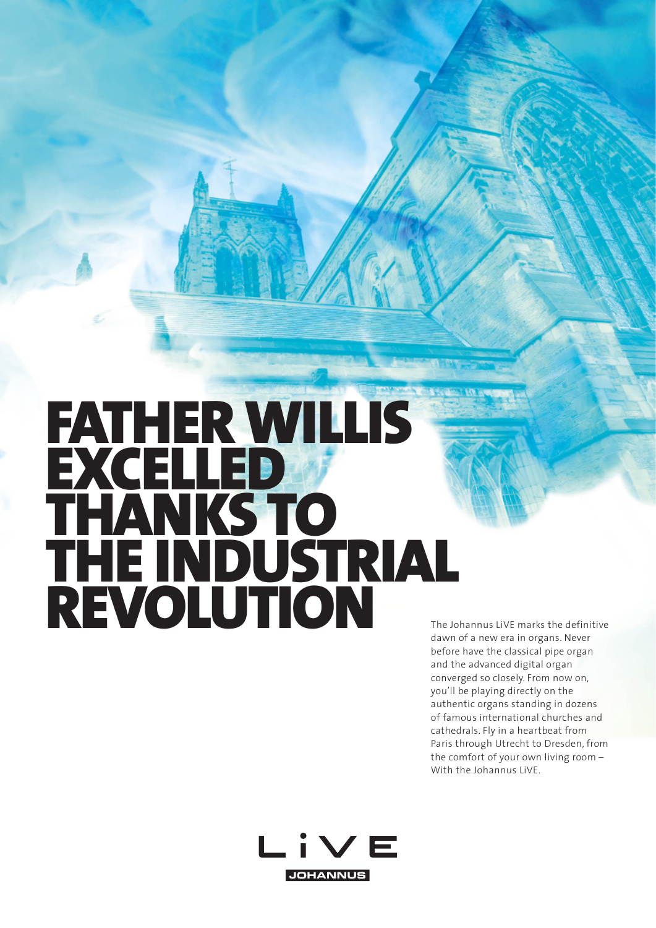## FATHER WILLIS EXCELLED THANKS TO THE INDUSTRIAL REVOLUTION The Johannus LiVE marks the definitive

dawn of a new era in organs. Never before have the classical pipe organ and the advanced digital organ converged so closely. From now on, you'll be playing directly on the authentic organs standing in dozens of famous international churches and cathedrals. Fly in a heartbeat from Paris through Utrecht to Dresden, from the comfort of your own living room – With the Johannus LiVE.